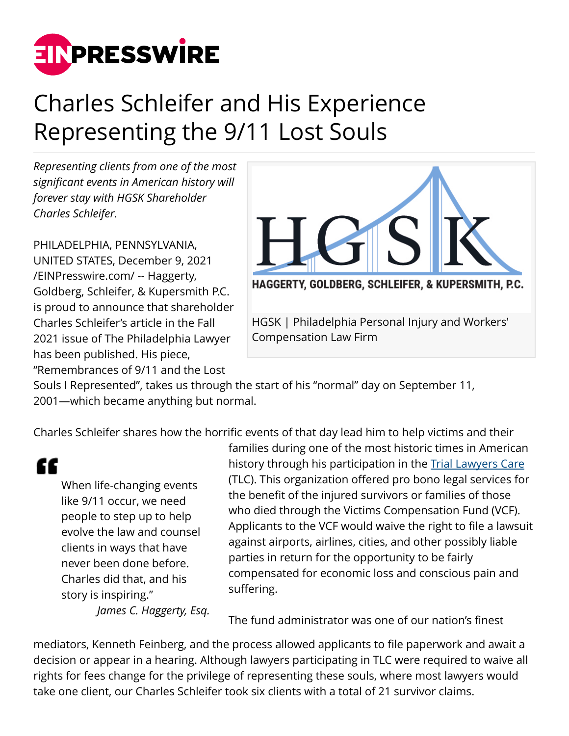

## Charles Schleifer and His Experience Representing the 9/11 Lost Souls

*Representing clients from one of the most significant events in American history will forever stay with HGSK Shareholder Charles Schleifer.*

PHILADELPHIA, PENNSYLVANIA, UNITED STATES, December 9, 2021 [/EINPresswire.com/](http://www.einpresswire.com) -- Haggerty, Goldberg, Schleifer, & Kupersmith P.C. is proud to announce that shareholder Charles Schleifer's article in the Fall 2021 issue of The Philadelphia Lawyer has been published. His piece, "Remembrances of 9/11 and the Lost



Souls I Represented", takes us through the start of his "normal" day on September 11, 2001—which became anything but normal.

Charles Schleifer shares how the horrific events of that day lead him to help victims and their

"

When life-changing events like 9/11 occur, we need people to step up to help evolve the law and counsel clients in ways that have never been done before. Charles did that, and his story is inspiring."

*James C. Haggerty, Esq.*

families during one of the most historic times in American history through his participation in the **[Trial Lawyers Care](http://www.triallawyerscare.org/)** (TLC). This organization offered pro bono legal services for the benefit of the injured survivors or families of those who died through the Victims Compensation Fund (VCF). Applicants to the VCF would waive the right to file a lawsuit against airports, airlines, cities, and other possibly liable parties in return for the opportunity to be fairly compensated for economic loss and conscious pain and suffering.

The fund administrator was one of our nation's finest

mediators, Kenneth Feinberg, and the process allowed applicants to file paperwork and await a decision or appear in a hearing. Although lawyers participating in TLC were required to waive all rights for fees change for the privilege of representing these souls, where most lawyers would take one client, our Charles Schleifer took six clients with a total of 21 survivor claims.